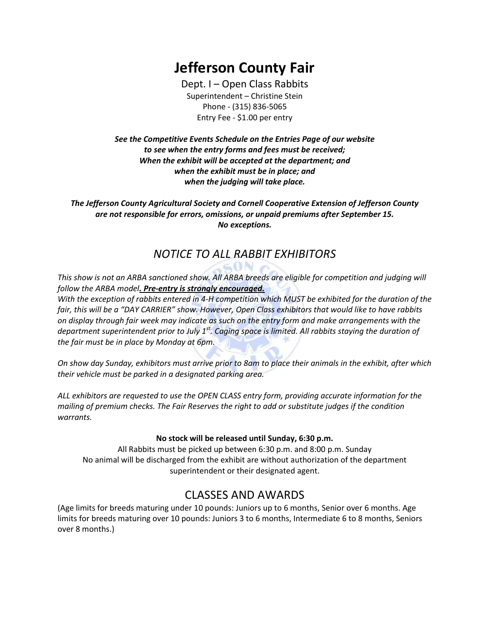# Jefferson County Fair

Dept. I – Open Class Rabbits Superintendent – Christine Stein Phone - (315) 836-5065 Entry Fee - \$1.00 per entry

See the Competitive Events Schedule on the Entries Page of our website to see when the entry forms and fees must be received; When the exhibit will be accepted at the department; and when the exhibit must be in place; and when the judging will take place.

The Jefferson County Agricultural Society and Cornell Cooperative Extension of Jefferson County are not responsible for errors, omissions, or unpaid premiums after September 15. No exceptions.

### NOTICE TO ALL RABBIT EXHIBITORS

This show is not an ARBA sanctioned show. All ARBA breeds are eligible for competition and judging will follow the ARBA model. Pre-entry is strongly encouraged.

 $G \cap N$ 

With the exception of rabbits entered in 4-H competition which MUST be exhibited for the duration of the fair, this will be a "DAY CARRIER" show. However, Open Class exhibitors that would like to have rabbits on display through fair week may indicate as such on the entry form and make arrangements with the department superintendent prior to July 1<sup>st</sup>. Caging space is limited. All rabbits staying the duration of the fair must be in place by Monday at 6pm.

On show day Sunday, exhibitors must arrive prior to 8am to place their animals in the exhibit, after which their vehicle must be parked in a designated parking area.

ALL exhibitors are requested to use the OPEN CLASS entry form, providing accurate information for the mailing of premium checks. The Fair Reserves the right to add or substitute judges if the condition warrants.

#### No stock will be released until Sunday, 6:30 p.m.

All Rabbits must be picked up between 6:30 p.m. and 8:00 p.m. Sunday No animal will be discharged from the exhibit are without authorization of the department superintendent or their designated agent.

### CLASSES AND AWARDS

(Age limits for breeds maturing under 10 pounds: Juniors up to 6 months, Senior over 6 months. Age limits for breeds maturing over 10 pounds: Juniors 3 to 6 months, Intermediate 6 to 8 months, Seniors over 8 months.)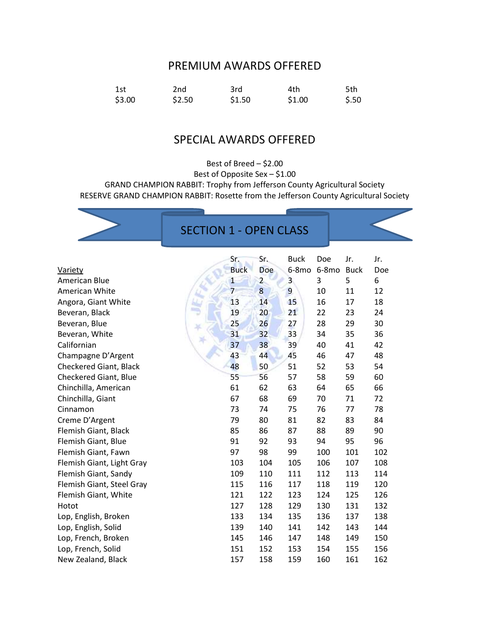#### PREMIUM AWARDS OFFERED

| 1st    | 2nd    | 3rd    | 4th    | 5th   |
|--------|--------|--------|--------|-------|
| \$3.00 | \$2.50 | \$1.50 | \$1.00 | \$.50 |

### SPECIAL AWARDS OFFERED

Best of Breed – \$2.00 Best of Opposite Sex – \$1.00 GRAND CHAMPION RABBIT: Trophy from Jefferson County Agricultural Society RESERVE GRAND CHAMPION RABBIT: Rosette from the Jefferson County Agricultural Society

## SECTION 1 - OPEN CLASS

|                           | Sr.            | Sr.            | <b>Buck</b>             | Doe     | Jr.         | Jr. |
|---------------------------|----------------|----------------|-------------------------|---------|-------------|-----|
| <b>Variety</b>            | <b>Buck</b>    | Doe            | $6-8mo$                 | $6-8mo$ | <b>Buck</b> | Doe |
| American Blue             | $\mathbf{1}$   | $\overline{2}$ | $\overline{\mathbf{3}}$ | 3       | 5           | 6   |
| American White            | $\overline{7}$ | 8              | $\overline{9}$          | 10      | 11          | 12  |
| Angora, Giant White       | 13             | 14             | 15                      | 16      | 17          | 18  |
| Beveran, Black            | 19             | 20             | 21                      | 22      | 23          | 24  |
| Beveran, Blue             | 25             | 26             | 27                      | 28      | 29          | 30  |
| Beveran, White            | 31             | 32             | 33                      | 34      | 35          | 36  |
| Californian               | 37             | 38             | 39                      | 40      | 41          | 42  |
| Champagne D'Argent        | 43             | 44             | 45                      | 46      | 47          | 48  |
| Checkered Giant, Black    | 48             | 50             | 51                      | 52      | 53          | 54  |
| Checkered Giant, Blue     | 55             | 56             | 57                      | 58      | 59          | 60  |
| Chinchilla, American      | 61             | 62             | 63                      | 64      | 65          | 66  |
| Chinchilla, Giant         | 67             | 68             | 69                      | 70      | 71          | 72  |
| Cinnamon                  | 73             | 74             | 75                      | 76      | 77          | 78  |
| Creme D'Argent            | 79             | 80             | 81                      | 82      | 83          | 84  |
| Flemish Giant, Black      | 85             | 86             | 87                      | 88      | 89          | 90  |
| Flemish Giant, Blue       | 91             | 92             | 93                      | 94      | 95          | 96  |
| Flemish Giant, Fawn       | 97             | 98             | 99                      | 100     | 101         | 102 |
| Flemish Giant, Light Gray | 103            | 104            | 105                     | 106     | 107         | 108 |
| Flemish Giant, Sandy      | 109            | 110            | 111                     | 112     | 113         | 114 |
| Flemish Giant, Steel Gray | 115            | 116            | 117                     | 118     | 119         | 120 |
| Flemish Giant, White      | 121            | 122            | 123                     | 124     | 125         | 126 |
| Hotot                     | 127            | 128            | 129                     | 130     | 131         | 132 |
| Lop, English, Broken      | 133            | 134            | 135                     | 136     | 137         | 138 |
| Lop, English, Solid       | 139            | 140            | 141                     | 142     | 143         | 144 |
| Lop, French, Broken       | 145            | 146            | 147                     | 148     | 149         | 150 |
| Lop, French, Solid        | 151            | 152            | 153                     | 154     | 155         | 156 |
| New Zealand, Black        | 157            | 158            | 159                     | 160     | 161         | 162 |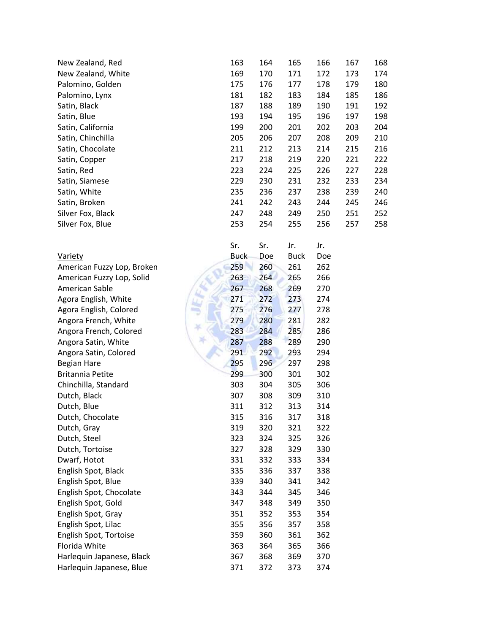| New Zealand, Red   | 163 | 164 | 165 | 166 | 167 | 168 |
|--------------------|-----|-----|-----|-----|-----|-----|
| New Zealand, White | 169 | 170 | 171 | 172 | 173 | 174 |
| Palomino, Golden   | 175 | 176 | 177 | 178 | 179 | 180 |
| Palomino, Lynx     | 181 | 182 | 183 | 184 | 185 | 186 |
| Satin, Black       | 187 | 188 | 189 | 190 | 191 | 192 |
| Satin, Blue        | 193 | 194 | 195 | 196 | 197 | 198 |
| Satin, California  | 199 | 200 | 201 | 202 | 203 | 204 |
| Satin, Chinchilla  | 205 | 206 | 207 | 208 | 209 | 210 |
| Satin, Chocolate   | 211 | 212 | 213 | 214 | 215 | 216 |
| Satin, Copper      | 217 | 218 | 219 | 220 | 221 | 222 |
| Satin, Red         | 223 | 224 | 225 | 226 | 227 | 228 |
| Satin, Siamese     | 229 | 230 | 231 | 232 | 233 | 234 |
| Satin, White       | 235 | 236 | 237 | 238 | 239 | 240 |
| Satin, Broken      | 241 | 242 | 243 | 244 | 245 | 246 |
| Silver Fox, Black  | 247 | 248 | 249 | 250 | 251 | 252 |
| Silver Fox, Blue   | 253 | 254 | 255 | 256 | 257 | 258 |

|                            | Sr.         | Sr. | Jr.         | Jr. |
|----------------------------|-------------|-----|-------------|-----|
| <b>Variety</b>             | <b>Buck</b> | Doe | <b>Buck</b> | Doe |
| American Fuzzy Lop, Broken | 259         | 260 | 261         | 262 |
| American Fuzzy Lop, Solid  | 263         | 264 | 265         | 266 |
| American Sable             | 267         | 268 | 269         | 270 |
| Agora English, White       | 271         | 272 | 273         | 274 |
| Agora English, Colored     | 275         | 276 | 277         | 278 |
| Angora French, White       | 279         | 280 | 281         | 282 |
| Angora French, Colored     | 283         | 284 | 285         | 286 |
| Angora Satin, White        | 287         | 288 | 289         | 290 |
| Angora Satin, Colored      | 291         | 292 | 293         | 294 |
| Begian Hare                | 295         | 296 | 297         | 298 |
| <b>Britannia Petite</b>    | 299         | 300 | 301         | 302 |
| Chinchilla, Standard       | 303         | 304 | 305         | 306 |
| Dutch, Black               | 307         | 308 | 309         | 310 |
| Dutch, Blue                | 311         | 312 | 313         | 314 |
| Dutch, Chocolate           | 315         | 316 | 317         | 318 |
| Dutch, Gray                | 319         | 320 | 321         | 322 |
| Dutch, Steel               | 323         | 324 | 325         | 326 |
| Dutch, Tortoise            | 327         | 328 | 329         | 330 |
| Dwarf, Hotot               | 331         | 332 | 333         | 334 |
| English Spot, Black        | 335         | 336 | 337         | 338 |
| English Spot, Blue         | 339         | 340 | 341         | 342 |
| English Spot, Chocolate    | 343         | 344 | 345         | 346 |
| English Spot, Gold         | 347         | 348 | 349         | 350 |
| English Spot, Gray         | 351         | 352 | 353         | 354 |
| English Spot, Lilac        | 355         | 356 | 357         | 358 |
| English Spot, Tortoise     | 359         | 360 | 361         | 362 |
| Florida White              | 363         | 364 | 365         | 366 |
| Harlequin Japanese, Black  | 367         | 368 | 369         | 370 |
| Harlequin Japanese, Blue   | 371         | 372 | 373         | 374 |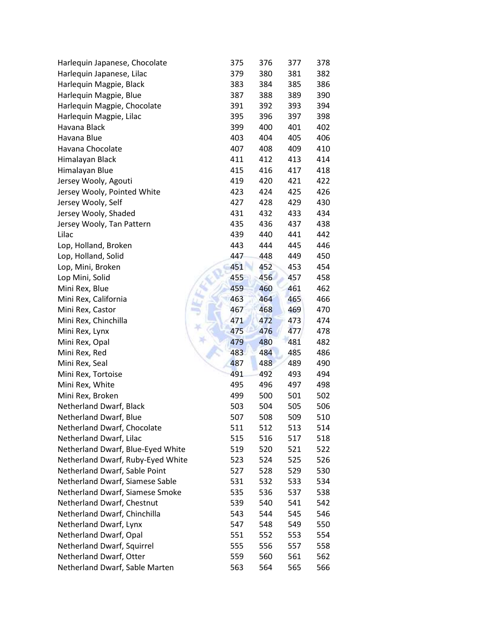| Harlequin Japanese, Chocolate     | 375 | 376 | 377 | 378        |
|-----------------------------------|-----|-----|-----|------------|
| Harlequin Japanese, Lilac         | 379 | 380 | 381 | 382        |
| Harlequin Magpie, Black           | 383 | 384 | 385 | 386        |
| Harlequin Magpie, Blue            | 387 | 388 | 389 | 390        |
| Harlequin Magpie, Chocolate       | 391 | 392 | 393 | 394        |
| Harlequin Magpie, Lilac           | 395 | 396 | 397 | 398        |
| Havana Black                      | 399 | 400 | 401 | 402        |
| Havana Blue                       | 403 | 404 | 405 | 406        |
| Havana Chocolate                  | 407 | 408 | 409 | 410        |
| Himalayan Black                   | 411 | 412 | 413 | 414        |
| Himalayan Blue                    | 415 | 416 | 417 | 418        |
| Jersey Wooly, Agouti              | 419 | 420 | 421 | 422        |
| Jersey Wooly, Pointed White       | 423 | 424 | 425 | 426        |
| Jersey Wooly, Self                | 427 | 428 | 429 | 430        |
| Jersey Wooly, Shaded              | 431 | 432 | 433 | 434        |
| Jersey Wooly, Tan Pattern         | 435 | 436 | 437 | 438        |
| Lilac                             | 439 | 440 | 441 | 442        |
| Lop, Holland, Broken              | 443 | 444 | 445 | 446        |
| Lop, Holland, Solid               | 447 | 448 | 449 | 450        |
| Lop, Mini, Broken                 | 451 | 452 | 453 | 454        |
| Lop Mini, Solid                   | 455 | 456 | 457 | 458        |
| Mini Rex, Blue                    | 459 | 460 | 461 | 462        |
| Mini Rex, California              | 463 | 464 | 465 | 466        |
| Mini Rex, Castor                  | 467 | 468 | 469 | 470        |
| Mini Rex, Chinchilla              | 471 | 472 | 473 | 474        |
| Mini Rex, Lynx                    | 475 | 476 | 477 | 478        |
| Mini Rex, Opal                    | 479 | 480 | 481 | 482        |
| Mini Rex, Red                     | 483 | 484 | 485 | 486        |
| Mini Rex, Seal                    | 487 | 488 | 489 | 490        |
| Mini Rex, Tortoise                | 491 | 492 | 493 | 494        |
| Mini Rex, White                   | 495 | 496 | 497 | 498        |
| Mini Rex, Broken                  | 499 | 500 | 501 | 502        |
| Netherland Dwarf, Black           | 503 | 504 | 505 | 506        |
| Netherland Dwarf, Blue            | 507 | 508 | 509 | 510        |
| Netherland Dwarf, Chocolate       | 511 | 512 | 513 | 514        |
| Netherland Dwarf, Lilac           | 515 | 516 | 517 | 518        |
| Netherland Dwarf, Blue-Eyed White | 519 | 520 | 521 | 522        |
| Netherland Dwarf, Ruby-Eyed White | 523 | 524 | 525 | 526        |
| Netherland Dwarf, Sable Point     | 527 | 528 | 529 | 530        |
| Netherland Dwarf, Siamese Sable   | 531 | 532 | 533 | 534        |
| Netherland Dwarf, Siamese Smoke   | 535 | 536 | 537 | 538        |
| Netherland Dwarf, Chestnut        | 539 | 540 | 541 | 542        |
| Netherland Dwarf, Chinchilla      | 543 | 544 | 545 | 546        |
| Netherland Dwarf, Lynx            | 547 | 548 | 549 | 550        |
| Netherland Dwarf, Opal            | 551 | 552 | 553 | 554        |
| Netherland Dwarf, Squirrel        | 555 | 556 | 557 | 558        |
| Netherland Dwarf, Otter           | 559 | 560 | 561 |            |
| Netherland Dwarf, Sable Marten    | 563 | 564 | 565 | 562<br>566 |
|                                   |     |     |     |            |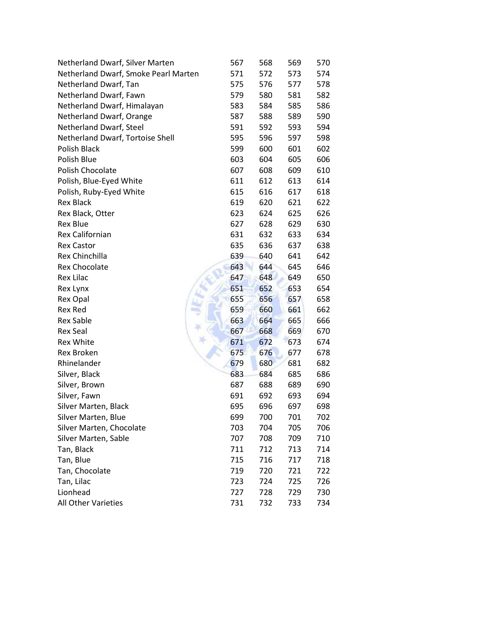| Netherland Dwarf, Silver Marten      | 567 | 568 | 569 | 570 |
|--------------------------------------|-----|-----|-----|-----|
| Netherland Dwarf, Smoke Pearl Marten | 571 | 572 | 573 | 574 |
| Netherland Dwarf, Tan                | 575 | 576 | 577 | 578 |
| Netherland Dwarf, Fawn               | 579 | 580 | 581 | 582 |
| Netherland Dwarf, Himalayan          | 583 | 584 | 585 | 586 |
| Netherland Dwarf, Orange             | 587 | 588 | 589 | 590 |
| Netherland Dwarf, Steel              | 591 | 592 | 593 | 594 |
| Netherland Dwarf, Tortoise Shell     | 595 | 596 | 597 | 598 |
| <b>Polish Black</b>                  | 599 | 600 | 601 | 602 |
| Polish Blue                          | 603 | 604 | 605 | 606 |
| Polish Chocolate                     | 607 | 608 | 609 | 610 |
| Polish, Blue-Eyed White              | 611 | 612 | 613 | 614 |
| Polish, Ruby-Eyed White              | 615 | 616 | 617 | 618 |
| <b>Rex Black</b>                     | 619 | 620 | 621 | 622 |
| Rex Black, Otter                     | 623 | 624 | 625 | 626 |
| <b>Rex Blue</b>                      | 627 | 628 | 629 | 630 |
| Rex Californian                      | 631 | 632 | 633 | 634 |
| <b>Rex Castor</b>                    | 635 | 636 | 637 | 638 |
| Rex Chinchilla                       | 639 | 640 | 641 | 642 |
| <b>Rex Chocolate</b>                 | 643 | 644 | 645 | 646 |
| <b>Rex Lilac</b>                     | 647 | 648 | 649 | 650 |
| Rex Lynx                             | 651 | 652 | 653 | 654 |
| <b>Rex Opal</b>                      | 655 | 656 | 657 | 658 |
| <b>Rex Red</b>                       | 659 | 660 | 661 | 662 |
| <b>Rex Sable</b>                     | 663 | 664 | 665 | 666 |
| <b>Rex Seal</b>                      | 667 | 668 | 669 | 670 |
| <b>Rex White</b>                     | 671 | 672 | 673 | 674 |
| <b>Rex Broken</b>                    | 675 | 676 | 677 | 678 |
| Rhinelander                          | 679 | 680 | 681 | 682 |
| Silver, Black                        | 683 | 684 | 685 | 686 |
| Silver, Brown                        | 687 | 688 | 689 | 690 |
| Silver, Fawn                         | 691 | 692 | 693 | 694 |
| Silver Marten, Black                 | 695 | 696 | 697 | 698 |
| Silver Marten, Blue                  | 699 | 700 | 701 | 702 |
| Silver Marten, Chocolate             | 703 | 704 | 705 | 706 |
| Silver Marten, Sable                 | 707 | 708 | 709 | 710 |
| Tan, Black                           | 711 | 712 | 713 | 714 |
| Tan, Blue                            | 715 | 716 | 717 | 718 |
| Tan, Chocolate                       | 719 | 720 | 721 | 722 |
| Tan, Lilac                           | 723 | 724 | 725 | 726 |
| Lionhead                             | 727 | 728 | 729 | 730 |
| All Other Varieties                  | 731 | 732 | 733 | 734 |